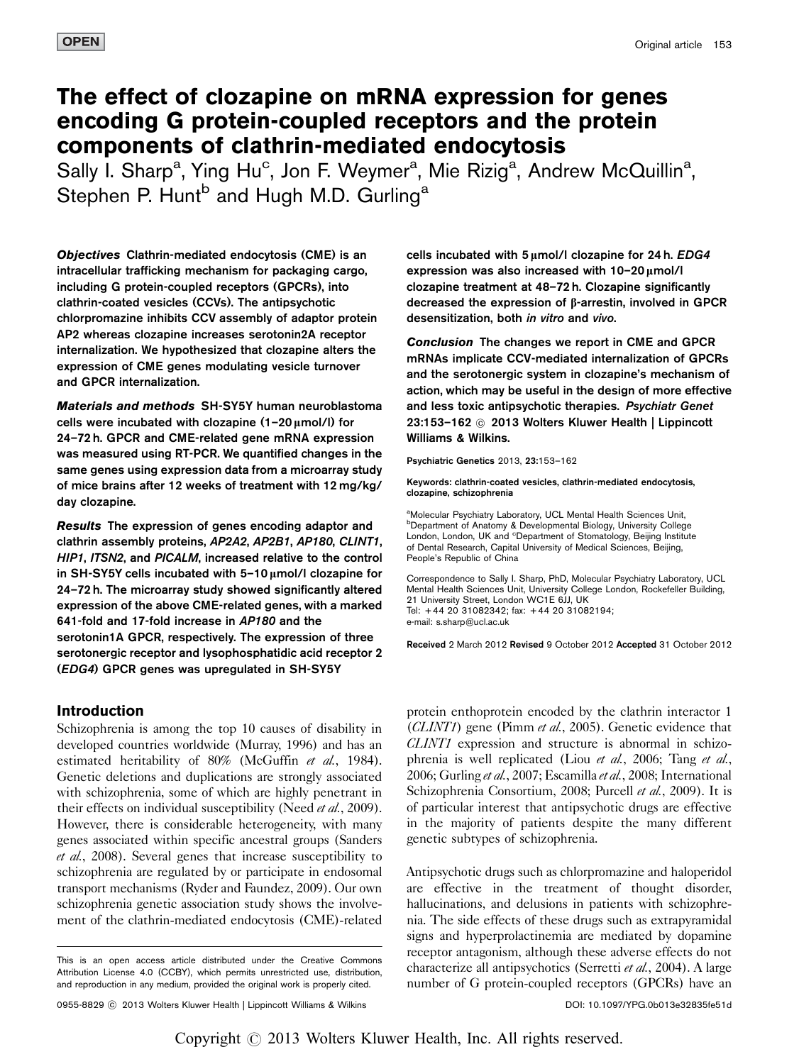# The effect of clozapine on mRNA expression for genes encoding G protein-coupled receptors and the protein components of clathrin-mediated endocytosis

Sally I. Sharp<sup>a</sup>, Ying Hu<sup>c</sup>, Jon F. Weymer<sup>a</sup>, Mie Rizig<sup>a</sup>, Andrew McQuillin<sup>a</sup>, Stephen P. Hunt<sup>b</sup> and Hugh M.D. Gurling<sup>a</sup>

Objectives Clathrin-mediated endocytosis (CME) is an intracellular trafficking mechanism for packaging cargo, including G protein-coupled receptors (GPCRs), into clathrin-coated vesicles (CCVs). The antipsychotic chlorpromazine inhibits CCV assembly of adaptor protein AP2 whereas clozapine increases serotonin2A receptor internalization. We hypothesized that clozapine alters the expression of CME genes modulating vesicle turnover and GPCR internalization.

Materials and methods SH-SY5Y human neuroblastoma cells were incubated with clozapine  $(1-20 \mu \text{mol/l})$  for 24–72 h. GPCR and CME-related gene mRNA expression was measured using RT-PCR. We quantified changes in the same genes using expression data from a microarray study of mice brains after 12 weeks of treatment with 12 mg/kg/ day clozapine.

Results The expression of genes encoding adaptor and clathrin assembly proteins, AP2A2, AP2B1, AP180, CLINT1, HIP1, ITSN2, and PICALM, increased relative to the control in SH-SY5Y cells incubated with  $5-10 \mu$ mol/l clozapine for 24–72 h. The microarray study showed significantly altered expression of the above CME-related genes, with a marked 641-fold and 17-fold increase in AP180 and the serotonin1A GPCR, respectively. The expression of three serotonergic receptor and lysophosphatidic acid receptor 2 (EDG4) GPCR genes was upregulated in SH-SY5Y

# Introduction

Schizophrenia is among the top 10 causes of disability in developed countries worldwide [\(Murray, 1996\)](#page-9-0) and has an estimated heritability of 80% ([McGuffin](#page-9-0) et al., 1984). Genetic deletions and duplications are strongly associated with schizophrenia, some of which are highly penetrant in their effects on individual susceptibility (Need *et al.*[, 2009\)](#page-9-0). However, there is considerable heterogeneity, with many genes associated within specific ancestral groups [\(Sanders](#page-9-0) et al.[, 2008](#page-9-0)). Several genes that increase susceptibility to schizophrenia are regulated by or participate in endosomal transport mechanisms [\(Ryder and Faundez, 2009](#page-9-0)). Our own schizophrenia genetic association study shows the involvement of the clathrin-mediated endocytosis (CME)-related cells incubated with  $5 \mu$ mol/l clozapine for 24 h.  $EDG4$ expression was also increased with  $10-20 \mu$ mol/l clozapine treatment at 48–72 h. Clozapine significantly decreased the expression of β-arrestin, involved in GPCR desensitization, both in vitro and vivo.

Conclusion The changes we report in CME and GPCR mRNAs implicate CCV-mediated internalization of GPCRs and the serotonergic system in clozapine's mechanism of action, which may be useful in the design of more effective and less toxic antipsychotic therapies. Psychiatr Genet 23:153-162 © 2013 Wolters Kluwer Health | Lippincott Williams & Wilkins.

#### Psychiatric Genetics 2013, 23:153–162

Keywords: clathrin-coated vesicles, clathrin-mediated endocytosis, clozapine, schizophrenia

aMolecular Psychiatry Laboratory, UCL Mental Health Sciences Unit, b Department of Anatomy & Developmental Biology, University College London, London, UK and <sup>c</sup>Department of Stomatology, Beijing Institute of Dental Research, Capital University of Medical Sciences, Beijing, People's Republic of China

Correspondence to Sally I. Sharp, PhD, Molecular Psychiatry Laboratory, UCL Mental Health Sciences Unit, University College London, Rockefeller Building, 21 University Street, London WC1E 6JJ, UK Tel: + 44 20 31082342; fax: + 44 20 31082194; e-mail: [s.sharp@ucl.ac.uk](mailto:s.sharp@ucl.ac.uk)

Received 2 March 2012 Revised 9 October 2012 Accepted 31 October 2012

protein enthoprotein encoded by the clathrin interactor 1 (CLINT1) gene (Pimm et al.[, 2005\)](#page-9-0). Genetic evidence that CLINT1 expression and structure is abnormal in schizo-phrenia is well replicated (Liou et al.[, 2006](#page-9-0); [Tang](#page-9-0) et al., [2006](#page-9-0); [Gurling](#page-9-0) et al., 2007; [Escamilla](#page-9-0) et al., 2008; [International](#page-9-0) [Schizophrenia Consortium, 2008; Purcell](#page-9-0) et al., 2009). It is of particular interest that antipsychotic drugs are effective in the majority of patients despite the many different genetic subtypes of schizophrenia.

Antipsychotic drugs such as chlorpromazine and haloperidol are effective in the treatment of thought disorder, hallucinations, and delusions in patients with schizophrenia. The side effects of these drugs such as extrapyramidal signs and hyperprolactinemia are mediated by dopamine receptor antagonism, although these adverse effects do not characterize all antipsychotics ([Serretti](#page-9-0) et al., 2004). A large number of G protein-coupled receptors (GPCRs) have an

This is an open access article distributed under the Creative Commons Attribution License 4.0 (CCBY), which permits unrestricted use, distribution, and reproduction in any medium, provided the original work is properly cited.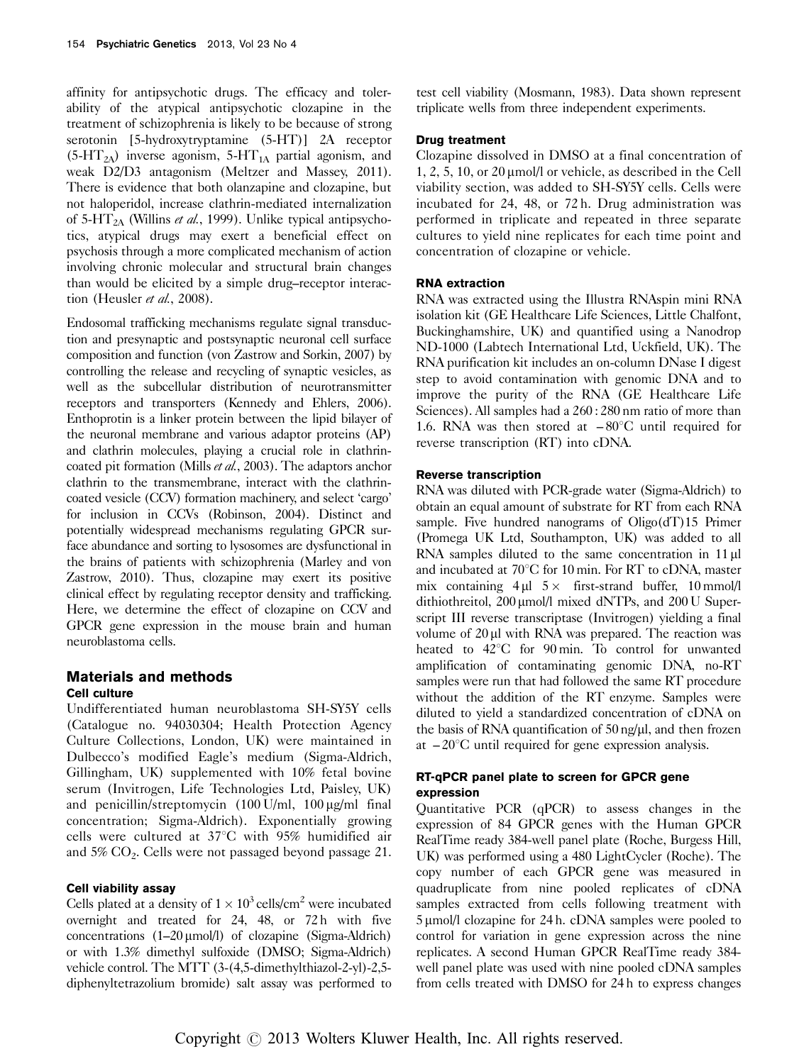affinity for antipsychotic drugs. The efficacy and tolerability of the atypical antipsychotic clozapine in the treatment of schizophrenia is likely to be because of strong serotonin [5-hydroxytryptamine (5-HT)] 2A receptor  $(5-HT<sub>2A</sub>)$  inverse agonism, 5-HT<sub>1A</sub> partial agonism, and weak D2/D3 antagonism ([Meltzer and Massey, 2011](#page-9-0)). There is evidence that both olanzapine and clozapine, but not haloperidol, increase clathrin-mediated internalization of 5-HT<sub>2A</sub> [\(Willins](#page-9-0) *et al.*, 1999). Unlike typical antipsychotics, atypical drugs may exert a beneficial effect on psychosis through a more complicated mechanism of action involving chronic molecular and structural brain changes than would be elicited by a simple drug–receptor interac-tion [\(Heusler](#page-9-0) et al., 2008).

Endosomal trafficking mechanisms regulate signal transduction and presynaptic and postsynaptic neuronal cell surface composition and function ([von Zastrow and Sorkin, 2007\)](#page-9-0) by controlling the release and recycling of synaptic vesicles, as well as the subcellular distribution of neurotransmitter receptors and transporters [\(Kennedy and Ehlers, 2006\)](#page-9-0). Enthoprotin is a linker protein between the lipid bilayer of the neuronal membrane and various adaptor proteins (AP) and clathrin molecules, playing a crucial role in clathrincoated pit formation (Mills *et al.*[, 2003\)](#page-9-0). The adaptors anchor clathrin to the transmembrane, interact with the clathrincoated vesicle (CCV) formation machinery, and select 'cargo' for inclusion in CCVs ([Robinson, 2004](#page-9-0)). Distinct and potentially widespread mechanisms regulating GPCR surface abundance and sorting to lysosomes are dysfunctional in the brains of patients with schizophrenia [\(Marley and von](#page-9-0) [Zastrow, 2010](#page-9-0)). Thus, clozapine may exert its positive clinical effect by regulating receptor density and trafficking. Here, we determine the effect of clozapine on CCV and GPCR gene expression in the mouse brain and human neuroblastoma cells.

# Materials and methods

# Cell culture

Undifferentiated human neuroblastoma SH-SY5Y cells (Catalogue no. 94030304; Health Protection Agency Culture Collections, London, UK) were maintained in Dulbecco's modified Eagle's medium (Sigma-Aldrich, Gillingham, UK) supplemented with 10% fetal bovine serum (Invitrogen, Life Technologies Ltd, Paisley, UK) and penicillin/streptomycin  $(100 \text{ U/ml}, 100 \text{ µg/ml} \text{ final})$ concentration; Sigma-Aldrich). Exponentially growing cells were cultured at  $37^{\circ}$ C with 95% humidified air and 5% CO2. Cells were not passaged beyond passage 21.

# Cell viability assay

Cells plated at a density of  $1 \times 10^3$  cells/cm<sup>2</sup> were incubated overnight and treated for 24, 48, or 72h with five concentrations  $(1-20 \mu m o l/l)$  of clozapine (Sigma-Aldrich) or with 1.3% dimethyl sulfoxide (DMSO; Sigma-Aldrich) vehicle control. The MTT (3-(4,5-dimethylthiazol-2-yl)-2,5 diphenyltetrazolium bromide) salt assay was performed to

test cell viability [\(Mosmann, 1983](#page-9-0)). Data shown represent triplicate wells from three independent experiments.

# Drug treatment

Clozapine dissolved in DMSO at a final concentration of  $1, 2, 5, 10,$  or  $20 \mu m$  oll or vehicle, as described in the Cell viability section, was added to SH-SY5Y cells. Cells were incubated for 24, 48, or 72 h. Drug administration was performed in triplicate and repeated in three separate cultures to yield nine replicates for each time point and concentration of clozapine or vehicle.

# RNA extraction

RNA was extracted using the Illustra RNAspin mini RNA isolation kit (GE Healthcare Life Sciences, Little Chalfont, Buckinghamshire, UK) and quantified using a Nanodrop ND-1000 (Labtech International Ltd, Uckfield, UK). The RNA purification kit includes an on-column DNase I digest step to avoid contamination with genomic DNA and to improve the purity of the RNA (GE Healthcare Life Sciences). All samples had a  $260:280$  nm ratio of more than 1.6. RNA was then stored at  $-80^{\circ}$ C until required for reverse transcription (RT) into cDNA.

# Reverse transcription

RNA was diluted with PCR-grade water (Sigma-Aldrich) to obtain an equal amount of substrate for RT from each RNA sample. Five hundred nanograms of  $Oligo(dT)15$  Primer (Promega UK Ltd, Southampton, UK) was added to all RNA samples diluted to the same concentration in 11 µl and incubated at  $70^{\circ}$ C for 10 min. For RT to cDNA, master mix containing  $4 \mu$ l  $5 \times$  first-strand buffer, 10 mmol/l dithiothreitol,  $200 \mu$ mol/l mixed dNTPs, and  $200 \text{ U Super-}$ script III reverse transcriptase (Invitrogen) yielding a final volume of  $20 \mu l$  with RNA was prepared. The reaction was heated to  $42^{\circ}$ C for 90 min. To control for unwanted amplification of contaminating genomic DNA, no-RT samples were run that had followed the same RT procedure without the addition of the RT enzyme. Samples were diluted to yield a standardized concentration of cDNA on the basis of RNA quantification of  $50$  ng/ $\mu$ l, and then frozen at  $-20^{\circ}$ C until required for gene expression analysis.

### RT-qPCR panel plate to screen for GPCR gene expression

Quantitative PCR (qPCR) to assess changes in the expression of 84 GPCR genes with the Human GPCR RealTime ready 384-well panel plate (Roche, Burgess Hill, UK) was performed using a 480 LightCycler (Roche). The copy number of each GPCR gene was measured in quadruplicate from nine pooled replicates of cDNA samples extracted from cells following treatment with 5 µmol/l clozapine for 24 h. cDNA samples were pooled to control for variation in gene expression across the nine replicates. A second Human GPCR RealTime ready 384 well panel plate was used with nine pooled cDNA samples from cells treated with DMSO for 24 h to express changes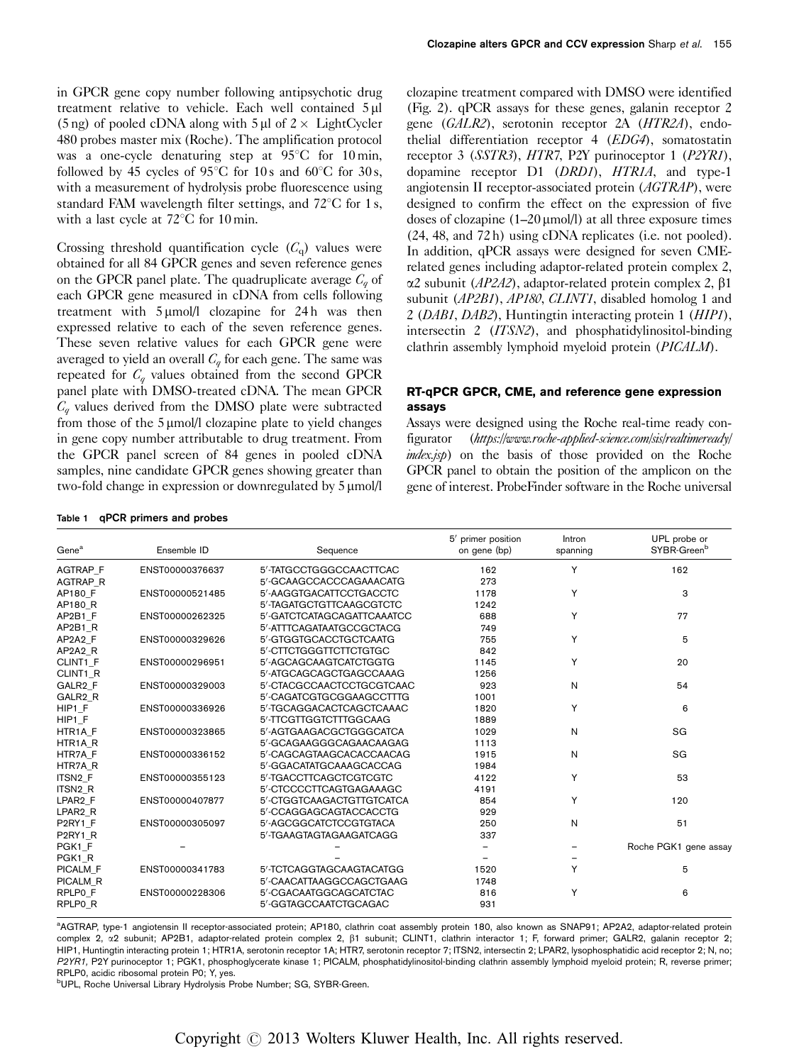<span id="page-2-0"></span>in GPCR gene copy number following antipsychotic drug treatment relative to vehicle. Each well contained 5 µl (5 ng) of pooled cDNA along with 5  $\mu$ l of 2  $\times$  LightCycler 480 probes master mix (Roche). The amplification protocol was a one-cycle denaturing step at  $95^{\circ}$ C for 10 min, followed by 45 cycles of 95 $\degree$ C for 10 s and 60 $\degree$ C for 30 s, with a measurement of hydrolysis probe fluorescence using standard FAM wavelength filter settings, and  $72^{\circ}$ C for 1 s, with a last cycle at  $72^{\circ}$ C for 10 min.

Crossing threshold quantification cycle  $(C_q)$  values were obtained for all 84 GPCR genes and seven reference genes on the GPCR panel plate. The quadruplicate average  $C_q$  of each GPCR gene measured in cDNA from cells following treatment with  $5 \mu$ mol/l clozapine for 24h was then expressed relative to each of the seven reference genes. These seven relative values for each GPCR gene were averaged to yield an overall  $C_q$  for each gene. The same was repeated for  $C_q$  values obtained from the second GPCR panel plate with DMSO-treated cDNA. The mean GPCR  $C_q$  values derived from the DMSO plate were subtracted from those of the  $5 \mu$ mol/l clozapine plate to yield changes in gene copy number attributable to drug treatment. From the GPCR panel screen of 84 genes in pooled cDNA samples, nine candidate GPCR genes showing greater than two-fold change in expression or downregulated by  $5 \mu$ mol/l

Table 1 qPCR primers and probes

clozapine treatment compared with DMSO were identified ([Fig. 2](#page-4-0)). qPCR assays for these genes, galanin receptor 2 gene (GALR2), serotonin receptor 2A (HTR2A), endothelial differentiation receptor 4 (EDG4), somatostatin receptor 3 (SSTR3), HTR7, P2Y purinoceptor 1 (P2YR1), dopamine receptor D1 (DRD1), HTR1A, and type-1 angiotensin II receptor-associated protein (AGTRAP), were designed to confirm the effect on the expression of five doses of clozapine  $(1-20 \mu m o l/l)$  at all three exposure times (24, 48, and 72 h) using cDNA replicates (i.e. not pooled). In addition, qPCR assays were designed for seven CMErelated genes including adaptor-related protein complex 2,  $\alpha$ 2 subunit (*AP2A2*), adaptor-related protein complex 2,  $\beta$ 1 subunit (AP2B1), AP180, CLINT1, disabled homolog 1 and 2 (DAB1, DAB2), Huntingtin interacting protein 1 (HIP1), intersectin 2 (ITSN2), and phosphatidylinositol-binding clathrin assembly lymphoid myeloid protein (PICALM).

# RT-qPCR GPCR, CME, and reference gene expression assays

Assays were designed using the Roche real-time ready configurator ([https://www.roche-applied-science.com/sis/realtimeready/](https://http://www.roche-applied-science.com/sis/realtimeready/index.jsp) [index.jsp](https://http://www.roche-applied-science.com/sis/realtimeready/index.jsp)) on the basis of those provided on the Roche GPCR panel to obtain the position of the amplicon on the gene of interest. ProbeFinder software in the Roche universal

| Gene <sup>a</sup>                | Ensemble ID     | Sequence                   | 5' primer position<br>on gene (bp) | Intron<br>spanning | UPL probe or<br>SYBR-Green <sup>b</sup> |
|----------------------------------|-----------------|----------------------------|------------------------------------|--------------------|-----------------------------------------|
| AGTRAP_F                         | ENST00000376637 | 5'-TATGCCTGGGCCAACTTCAC    | 162                                | Y                  | 162                                     |
| AGTRAP_R                         |                 | 5'-GCAAGCCACCCAGAAACATG    | 273                                |                    |                                         |
| AP180 F                          | ENST00000521485 | 5'-AAGGTGACATTCCTGACCTC    | 1178                               | Y                  | 3                                       |
| AP180 R                          |                 | 5'-TAGATGCTGTTCAAGCGTCTC   | 1242                               |                    |                                         |
| AP2B1 F                          | ENST00000262325 | 5'-GATCTCATAGCAGATTCAAATCC | 688                                | Y                  | 77                                      |
| AP2B1 R                          |                 | 5'-ATTTCAGATAATGCCGCTACG   | 749                                |                    |                                         |
| AP2A2 F                          | ENST00000329626 | 5'-GTGGTGCACCTGCTCAATG     | 755                                | Y                  | 5                                       |
| AP2A2_R                          |                 | 5'-CTTCTGGGTTCTTCTGTGC     | 842                                |                    |                                         |
| CLINT1 F                         | ENST00000296951 | 5'-AGCAGCAAGTCATCTGGTG     | 1145                               | Y                  | 20                                      |
| CLINT1 R                         |                 | 5'-ATGCAGCAGCTGAGCCAAAG    | 1256                               |                    |                                         |
| GALR <sub>2</sub> F              | ENST00000329003 | 5'-CTACGCCAACTCCTGCGTCAAC  | 923                                | N                  | 54                                      |
| GALR <sub>2</sub> R              |                 | 5'-CAGATCGTGCGGAAGCCTTTG   | 1001                               |                    |                                         |
| HIP1 F                           | ENST00000336926 | 5'-TGCAGGACACTCAGCTCAAAC   | 1820                               | Y                  | 6                                       |
| HIP1 F                           |                 | 5'-TTCGTTGGTCTTTGGCAAG     | 1889                               |                    |                                         |
| HTR1A F                          | ENST00000323865 | 5'-AGTGAAGACGCTGGGCATCA    | 1029                               | N                  | SG                                      |
| HTR <sub>1</sub> AR              |                 | 5'-GCAGAAGGGCAGAACAAGAG    | 1113                               |                    |                                         |
| HTR7A F                          | ENST00000336152 | 5'-CAGCAGTAAGCACACCAACAG   | 1915                               | N                  | SG                                      |
| HTR7A R                          |                 | 5'-GGACATATGCAAAGCACCAG    | 1984                               |                    |                                         |
| ITSN <sub>2</sub> F              | ENST00000355123 | 5'-TGACCTTCAGCTCGTCGTC     | 4122                               | Y                  | 53                                      |
| ITSN <sub>2_R</sub>              |                 | 5'-CTCCCCTTCAGTGAGAAAGC    | 4191                               |                    |                                         |
| LPAR <sub>2</sub> F              | ENST00000407877 | 5'-CTGGTCAAGACTGTTGTCATCA  | 854                                | Y                  | 120                                     |
| LPAR2 R                          |                 | 5'-CCAGGAGCAGTACCACCTG     | 929                                |                    |                                         |
| P2RY1 F                          | ENST00000305097 | 5'-AGCGGCATCTCCGTGTACA     | 250                                | N                  | 51                                      |
| P <sub>2</sub> RY <sub>1</sub> R |                 | 5'-TGAAGTAGTAGAAGATCAGG    | 337                                |                    |                                         |
| PGK1 F                           |                 |                            |                                    |                    | Roche PGK1 gene assay                   |
| PGK1 R                           |                 |                            |                                    |                    |                                         |
| PICALM F                         | ENST00000341783 | 5'-TCTCAGGTAGCAAGTACATGG   | 1520                               | Y                  | 5                                       |
| PICALM R                         |                 | 5'-CAACATTAAGGCCAGCTGAAG   | 1748                               |                    |                                         |
| RPLP0 F                          | ENST00000228306 | 5'-CGACAATGGCAGCATCTAC     | 816                                | Y                  | 6                                       |
| RPLP0_R                          |                 | 5'-GGTAGCCAATCTGCAGAC      | 931                                |                    |                                         |

<sup>a</sup>AGTRAP, type-1 angiotensin II receptor-associated protein; AP180, clathrin coat assembly protein 180, also known as SNAP91; AP2A2, adaptor-related protein complex 2, x2 subunit; AP2B1, adaptor-related protein complex 2,  $\beta$ 1 subunit; CLINT1, clathrin interactor 1; F, forward primer; GALR2, galanin receptor 2; HIP1, Huntingtin interacting protein 1; HTR1A, serotonin receptor 1A; HTR7, serotonin receptor 7; ITSN2, intersectin 2; LPAR2, lysophosphatidic acid receptor 2; N, no; P2YR1, P2Y purinoceptor 1; PGK1, phosphoglycerate kinase 1; PICALM, phosphatidylinositol-binding clathrin assembly lymphoid myeloid protein; R, reverse primer; RPLP0, acidic ribosomal protein P0; Y, yes.

<sup>b</sup>UPL, Roche Universal Library Hydrolysis Probe Number; SG, SYBR-Green.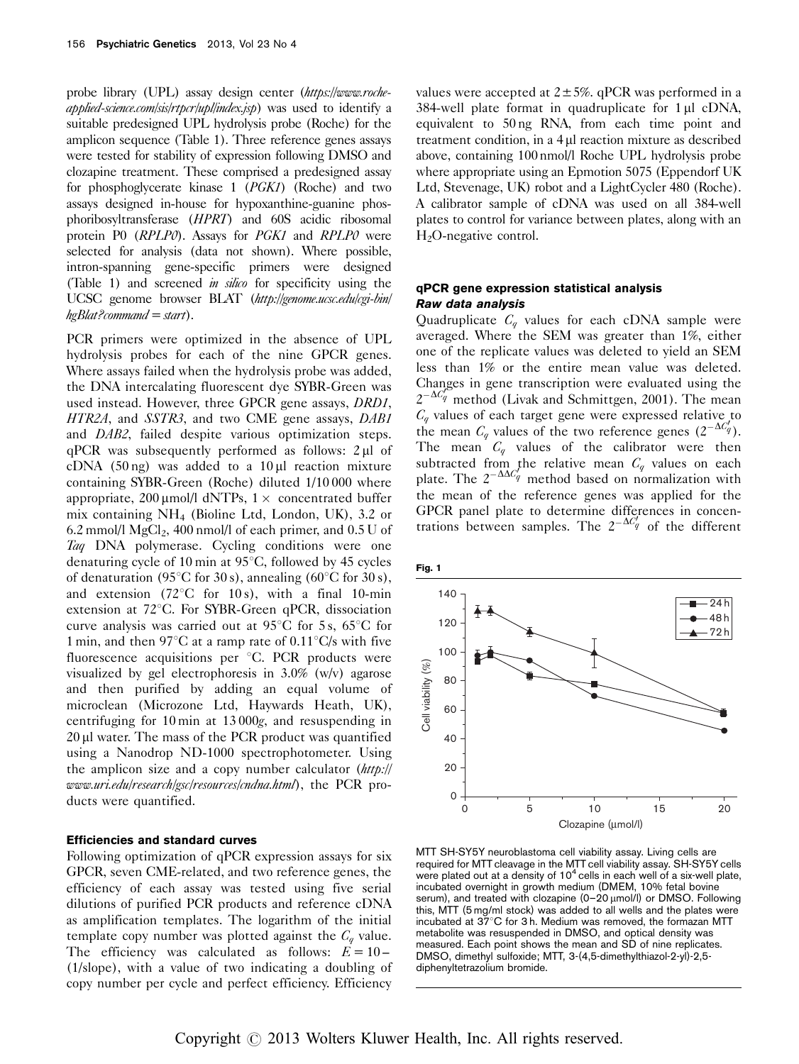<span id="page-3-0"></span>probe library (UPL) assay design center ([https://www.roche](https://http://www.roche-applied-science.com/sis/rtpcr/upl/index.jsp)[applied-science.com/sis/rtpcr/upl/index.jsp](https://http://www.roche-applied-science.com/sis/rtpcr/upl/index.jsp)) was used to identify a suitable predesigned UPL hydrolysis probe (Roche) for the amplicon sequence [\(Table 1\)](#page-2-0). Three reference genes assays were tested for stability of expression following DMSO and clozapine treatment. These comprised a predesigned assay for phosphoglycerate kinase 1 (PGK1) (Roche) and two assays designed in-house for hypoxanthine-guanine phosphoribosyltransferase (HPRT) and 60S acidic ribosomal protein P0 (RPLP0). Assays for PGK1 and RPLP0 were selected for analysis (data not shown). Where possible, intron-spanning gene-specific primers were designed ([Table 1\)](#page-2-0) and screened in silico for specificity using the UCSC genome browser BLAT ([http://genome.ucsc.edu/cgi-bin/](http://genome.ucsc.edu/cgi-bin/hgBlat?command=start)  $heBlat$ ?command = start).

PCR primers were optimized in the absence of UPL hydrolysis probes for each of the nine GPCR genes. Where assays failed when the hydrolysis probe was added, the DNA intercalating fluorescent dye SYBR-Green was used instead. However, three GPCR gene assays, DRD1, HTR2A, and SSTR3, and two CME gene assays, DAB1 and DAB2, failed despite various optimization steps. qPCR was subsequently performed as follows:  $2 \mu l$  of cDNA (50 ng) was added to a  $10 \mu l$  reaction mixture containing SYBR-Green (Roche) diluted 1/10 000 where appropriate, 200 µmol/l dNTPs,  $1 \times$  concentrated buffer mix containing NH4 (Bioline Ltd, London, UK), 3.2 or 6.2 mmol/l  $MgCl<sub>2</sub>$ , 400 nmol/l of each primer, and 0.5 U of Taq DNA polymerase. Cycling conditions were one denaturing cycle of 10 min at  $95^{\circ}$ C, followed by 45 cycles of denaturation (95 $\degree$ C for 30 s), annealing (60 $\degree$ C for 30 s), and extension (72 $\degree$ C for 10 s), with a final 10-min extension at  $72^{\circ}$ C. For SYBR-Green qPCR, dissociation curve analysis was carried out at  $95^{\circ}$ C for 5 s,  $65^{\circ}$ C for 1 min, and then 97 $\mathrm{C}$  at a ramp rate of 0.11 $\mathrm{C/s}$  with five fluorescence acquisitions per  $\degree$ C. PCR products were visualized by gel electrophoresis in 3.0% (w/v) agarose and then purified by adding an equal volume of microclean (Microzone Ltd, Haywards Heath, UK), centrifuging for 10 min at 13 000g, and resuspending in  $20 \mu$ l water. The mass of the PCR product was quantified using a Nanodrop ND-1000 spectrophotometer. Using the amplicon size and a copy number calculator ([http://](http://www.uri.edu/research/gsc/resources/cndna.html) [www.uri.edu/research/gsc/resources/cndna.html](http://www.uri.edu/research/gsc/resources/cndna.html)), the PCR products were quantified.

# Efficiencies and standard curves

Following optimization of qPCR expression assays for six GPCR, seven CME-related, and two reference genes, the efficiency of each assay was tested using five serial dilutions of purified PCR products and reference cDNA as amplification templates. The logarithm of the initial template copy number was plotted against the  $C_q$  value. The efficiency was calculated as follows:  $E = 10 -$ (1/slope), with a value of two indicating a doubling of copy number per cycle and perfect efficiency. Efficiency

values were accepted at  $2 \pm 5\%$ . qPCR was performed in a  $384$ -well plate format in quadruplicate for  $1 \mu l$  cDNA, equivalent to 50 ng RNA, from each time point and treatment condition, in a  $4 \mu l$  reaction mixture as described above, containing 100 nmol/l Roche UPL hydrolysis probe where appropriate using an Epmotion 5075 (Eppendorf UK Ltd, Stevenage, UK) robot and a LightCycler 480 (Roche). A calibrator sample of cDNA was used on all 384-well plates to control for variance between plates, along with an  $H<sub>2</sub>O$ -negative control.

# qPCR gene expression statistical analysis Raw data analysis

Quadruplicate  $C_q$  values for each cDNA sample were averaged. Where the SEM was greater than 1%, either one of the replicate values was deleted to yield an SEM less than 1% or the entire mean value was deleted. Changes in gene transcription were evaluated using the  $2^{-\Delta C_q^2}$  method [\(Livak and Schmittgen, 2001\)](#page-9-0). The mean  $C_q$  values of each target gene were expressed relative to the mean  $C_q$  values of the two reference genes  $(2^{-\Delta C_q^T})$ . The mean  $C_q$  values of the calibrator were then subtracted from the relative mean  $C_q$  values on each plate. The  $2^{-\Delta\Delta C'_q}$  method based on normalization with the mean of the reference genes was applied for the GPCR panel plate to determine differences in concentrations between samples. The  $2^{-\Delta C_q}$  of the different



MTT SH-SY5Y neuroblastoma cell viability assay. Living cells are required for MTT cleavage in the MTT cell viability assay. SH-SY5Y cells were plated out at a density of  $10<sup>4</sup>$  cells in each well of a six-well plate, incubated overnight in growth medium (DMEM, 10% fetal bovine serum), and treated with clozapine (0-20  $\mu$ mol/l) or DMSO. Following this, MTT (5 mg/ml stock) was added to all wells and the plates were incubated at  $37^{\circ}$ C for 3 h. Medium was removed, the formazan MTT metabolite was resuspended in DMSO, and optical density was measured. Each point shows the mean and SD of nine replicates. DMSO, dimethyl sulfoxide; MTT, 3-(4,5-dimethylthiazol-2-yl)-2,5 diphenyltetrazolium bromide.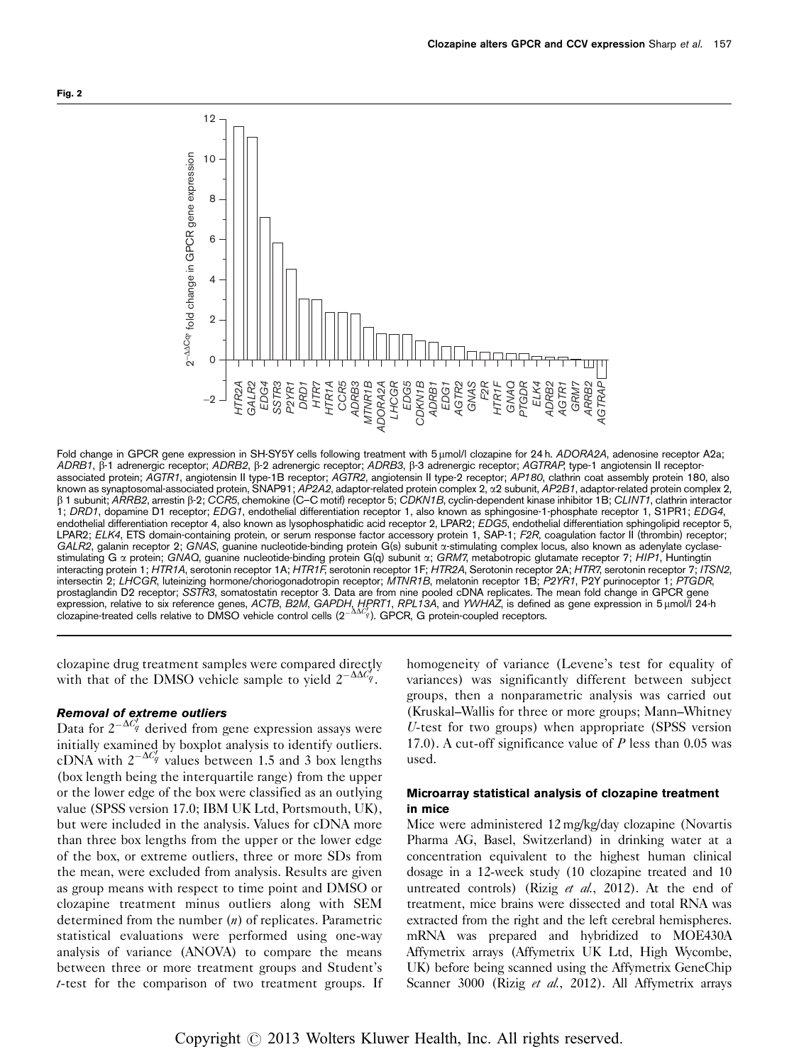<span id="page-4-0"></span>

Fold change in GPCR gene expression in SH-SY5Y cells following treatment with 5 umol/l clozapine for 24 h. ADORA2A, adenosine receptor A2a; ADRB1, b-1 adrenergic receptor; ADRB2, b-2 adrenergic receptor; ADRB3, b-3 adrenergic receptor; AGTRAP, type-1 angiotensin II receptorassociated protein; AGTR1, angiotensin II type-1B receptor; AGTR2, angiotensin II type-2 receptor; AP180, clathrin coat assembly protein 180, also known as synaptosomal-associated protein, SNAP91; AP2A2, adaptor-related protein complex 2, a2 subunit, AP2B1, adaptor-related protein complex 2, b 1 subunit; ARRB2, arrestin b-2; CCR5, chemokine (C–C motif) receptor 5; CDKN1B, cyclin-dependent kinase inhibitor 1B; CLINT1, clathrin interactor 1; DRD1, dopamine D1 receptor; EDG1, endothelial differentiation receptor 1, also known as sphingosine-1-phosphate receptor 1, S1PR1; EDG4, endothelial differentiation receptor 4, also known as lysophosphatidic acid receptor 2, LPAR2; EDG5, endothelial differentiation sphingolipid receptor 5, LPAR2; ELK4, ETS domain-containing protein, or serum response factor accessory protein 1, SAP-1; F2R, coagulation factor II (thrombin) receptor; GALR2, galanin receptor 2; GNAS, guanine nucleotide-binding protein G(s) subunit a-stimulating complex locus, also known as adenylate cyclasestimulating G a protein; GNAQ, guanine nucleotide-binding protein G(q) subunit a; GRM7, metabotropic glutamate receptor 7; HIP1, Huntingtin interacting protein 1; HTR1A, serotonin receptor 1A; HTR1F, serotonin receptor 1F; HTR2A, Serotonin receptor 2A; HTR7, serotonin receptor 7; ITSN2, intersectin 2; LHCGR, luteinizing hormone/choriogonadotropin receptor; MTNR1B, melatonin receptor 1B; P2YR1, P2Y purinoceptor 1; PTGDR, prostaglandin D2 receptor; SSTR3, somatostatin receptor 3. Data are from nine pooled cDNA replicates. The mean fold change in GPCR gene expression, relative to six reference genes, *ACTB, B2M, GAPDH, HPRT1, RPL13A*, and *YWHAZ*, is defined as gene expression in 5 μmol/l 24-h<br>clozapine-treated cells relative to DMSO vehicle control cells (2<sup>-ΔΔζ</sup>»). GPCR,

clozapine drug treatment samples were compared directly with that of the DMSO vehicle sample to yield  $2^{-\Delta\Delta C_q'}$ .

# Removal of extreme outliers

Data for  $2^{-\Delta C_q}$  derived from gene expression assays were initially examined by boxplot analysis to identify outliers. cDNA with  $2^{-\Delta C_q^f}$  values between 1.5 and 3 box lengths (box length being the interquartile range) from the upper or the lower edge of the box were classified as an outlying value (SPSS version 17.0; IBM UK Ltd, Portsmouth, UK), but were included in the analysis. Values for cDNA more than three box lengths from the upper or the lower edge of the box, or extreme outliers, three or more SDs from the mean, were excluded from analysis. Results are given as group means with respect to time point and DMSO or clozapine treatment minus outliers along with SEM determined from the number  $(n)$  of replicates. Parametric statistical evaluations were performed using one-way analysis of variance (ANOVA) to compare the means between three or more treatment groups and Student's t-test for the comparison of two treatment groups. If homogeneity of variance (Levene's test for equality of variances) was significantly different between subject groups, then a nonparametric analysis was carried out (Kruskal–Wallis for three or more groups; Mann–Whitney U-test for two groups) when appropriate (SPSS version 17.0). A cut-off significance value of  $P$  less than 0.05 was used.

# Microarray statistical analysis of clozapine treatment in mice

Mice were administered 12 mg/kg/day clozapine (Novartis Pharma AG, Basel, Switzerland) in drinking water at a concentration equivalent to the highest human clinical dosage in a 12-week study (10 clozapine treated and 10 untreated controls) (Rizig et al.[, 2012](#page-9-0)). At the end of treatment, mice brains were dissected and total RNA was extracted from the right and the left cerebral hemispheres. mRNA was prepared and hybridized to MOE430A Affymetrix arrays (Affymetrix UK Ltd, High Wycombe, UK) before being scanned using the Affymetrix GeneChip Scanner 3000 (Rizig et al.[, 2012\)](#page-9-0). All Affymetrix arrays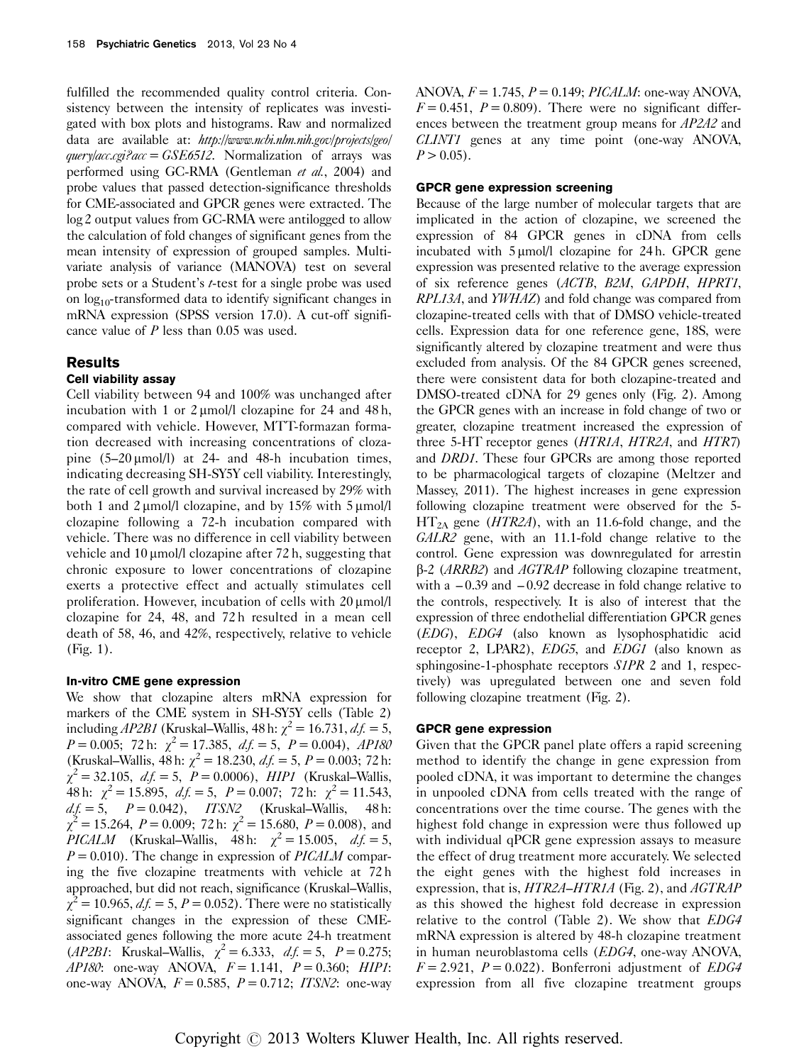fulfilled the recommended quality control criteria. Consistency between the intensity of replicates was investigated with box plots and histograms. Raw and normalized data are available at: [http://www.ncbi.nlm.nih.gov/projects/geo/](http://www.ncbi.nlm.nih.gov/projects/geo/query/acc.cgi?acc=GSE6512)  $query|acc.cgi?acc = GSE6512$ . Normalization of arrays was performed using GC-RMA [\(Gentleman](#page-9-0) et al., 2004) and probe values that passed detection-significance thresholds for CME-associated and GPCR genes were extracted. The log 2 output values from GC-RMA were antilogged to allow the calculation of fold changes of significant genes from the mean intensity of expression of grouped samples. Multivariate analysis of variance (MANOVA) test on several probe sets or a Student's t-test for a single probe was used on  $log_{10}$ -transformed data to identify significant changes in mRNA expression (SPSS version 17.0). A cut-off significance value of P less than 0.05 was used.

# **Results**

# Cell viability assay

Cell viability between 94 and 100% was unchanged after incubation with 1 or  $2 \mu$ mol/l clozapine for 24 and 48 h, compared with vehicle. However, MTT-formazan formation decreased with increasing concentrations of clozapine  $(5-20 \mu \text{mol/l})$  at 24- and 48-h incubation times, indicating decreasing SH-SY5Y cell viability. Interestingly, the rate of cell growth and survival increased by 29% with both 1 and 2  $\mu$ mol/l clozapine, and by 15% with 5  $\mu$ mol/l clozapine following a 72-h incubation compared with vehicle. There was no difference in cell viability between vehicle and  $10 \mu$ mol/l clozapine after 72 h, suggesting that chronic exposure to lower concentrations of clozapine exerts a protective effect and actually stimulates cell proliferation. However, incubation of cells with 20  $\mu$ mol/l clozapine for 24, 48, and 72 h resulted in a mean cell death of 58, 46, and 42%, respectively, relative to vehicle ([Fig. 1](#page-3-0)).

# In-vitro CME gene expression

We show that clozapine alters mRNA expression for markers of the CME system in SH-SY5Y cells [\(Table 2\)](#page-6-0) including AP2B1 (Kruskal–Wallis, 48 h:  $\chi^2$  = 16.731, d.f. = 5,  $P = 0.005$ ; 72 h:  $\chi^2 = 17.385$ ,  $df = 5$ ,  $P = 0.004$ ),  $AP180$ (Kruskal–Wallis, 48 h:  $\chi^2 = 18.230$ ,  $df = 5$ ,  $P = 0.003$ ; 72 h:  $\chi^2 = 32.105$ ,  $d.f. = 5$ ,  $P = 0.0006$ ),  $HIP1$  (Kruskal–Wallis, 48 h:  $\chi^2 = 15.895$ ,  $df = 5$ ,  $P = 0.007$ ; 72 h:  $\chi^2 = 11.543$ ,  $d.f. = 5,$   $P = 0.042$ ,  $ITSN2$  (Kruskal–Wallis, 48 h:  $\chi^2 = 15.264$ ,  $P = 0.009$ ; 72 h:  $\chi^2 = 15.680$ ,  $P = 0.008$ ), and PICALM (Kruskal–Wallis, 48 h:  $\chi^2 = 15.005$ ,  $d.f. = 5$ ,  $P = 0.010$ . The change in expression of *PICALM* comparing the five clozapine treatments with vehicle at 72 h approached, but did not reach, significance (Kruskal–Wallis,  $\chi^2 = 10.965$ ,  $df = 5$ ,  $P = 0.052$ ). There were no statistically significant changes in the expression of these CMEassociated genes following the more acute 24-h treatment (*AP2B1*: Kruskal–Wallis,  $\chi^2 = 6.333$ ,  $df = 5$ ,  $P = 0.275$ ; AP180: one-way ANOVA,  $F = 1.141$ ,  $P = 0.360$ ; HIP1: one-way ANOVA,  $F = 0.585$ ,  $P = 0.712$ ; ITSN2: one-way ANOVA,  $F = 1.745$ ,  $P = 0.149$ ; *PICALM*: one-way ANOVA,  $F = 0.451$ ,  $P = 0.809$ . There were no significant differences between the treatment group means for AP2A2 and CLINT1 genes at any time point (one-way ANOVA,  $P > 0.05$ .

### GPCR gene expression screening

Because of the large number of molecular targets that are implicated in the action of clozapine, we screened the expression of 84 GPCR genes in cDNA from cells incubated with  $5 \mu$ mol/l clozapine for 24 h. GPCR gene expression was presented relative to the average expression of six reference genes (ACTB, B2M, GAPDH, HPRT1, RPL13A, and YWHAZ) and fold change was compared from clozapine-treated cells with that of DMSO vehicle-treated cells. Expression data for one reference gene, 18S, were significantly altered by clozapine treatment and were thus excluded from analysis. Of the 84 GPCR genes screened, there were consistent data for both clozapine-treated and DMSO-treated cDNA for 29 genes only ([Fig. 2](#page-4-0)). Among the GPCR genes with an increase in fold change of two or greater, clozapine treatment increased the expression of three 5-HT receptor genes (HTR1A, HTR2A, and HTR7) and DRD1. These four GPCRs are among those reported to be pharmacological targets of clozapine [\(Meltzer and](#page-9-0) [Massey, 2011](#page-9-0)). The highest increases in gene expression following clozapine treatment were observed for the 5-  $HT<sub>2A</sub>$  gene (HTR2A), with an 11.6-fold change, and the GALR2 gene, with an 11.1-fold change relative to the control. Gene expression was downregulated for arrestin  $\beta$ -2 (*ARRB2*) and *AGTRAP* following clozapine treatment, with a  $-0.39$  and  $-0.92$  decrease in fold change relative to the controls, respectively. It is also of interest that the expression of three endothelial differentiation GPCR genes (EDG), EDG4 (also known as lysophosphatidic acid receptor 2, LPAR2), EDG5, and EDG1 (also known as sphingosine-1-phosphate receptors S1PR 2 and 1, respectively) was upregulated between one and seven fold following clozapine treatment [\(Fig. 2](#page-4-0)).

# GPCR gene expression

Given that the GPCR panel plate offers a rapid screening method to identify the change in gene expression from pooled cDNA, it was important to determine the changes in unpooled cDNA from cells treated with the range of concentrations over the time course. The genes with the highest fold change in expression were thus followed up with individual qPCR gene expression assays to measure the effect of drug treatment more accurately. We selected the eight genes with the highest fold increases in expression, that is, HTR2A–HTR1A ([Fig. 2](#page-4-0)), and AGTRAP as this showed the highest fold decrease in expression relative to the control ([Table 2\)](#page-6-0). We show that EDG4 mRNA expression is altered by 48-h clozapine treatment in human neuroblastoma cells (EDG4, one-way ANOVA,  $F = 2.921$ ,  $P = 0.022$ ). Bonferroni adjustment of *EDG4* expression from all five clozapine treatment groups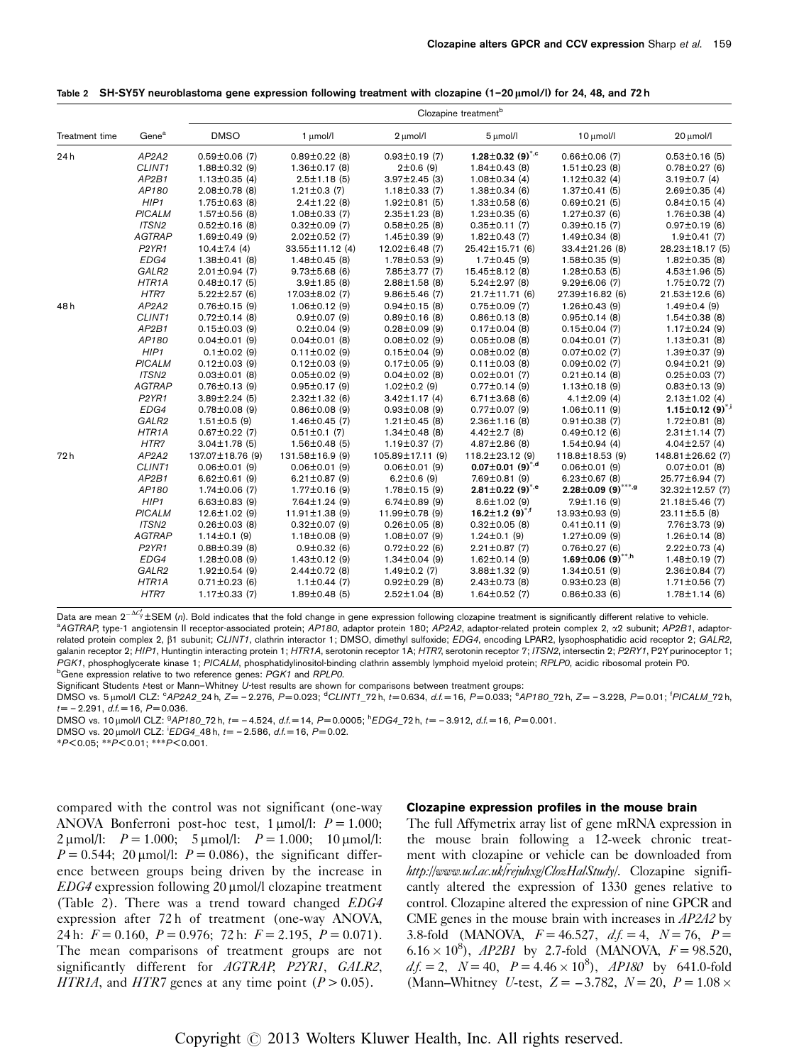|                | Gene <sup>a</sup>              | Clozapine treatment <sup>b</sup> |                      |                      |                                    |                                      |                                    |
|----------------|--------------------------------|----------------------------------|----------------------|----------------------|------------------------------------|--------------------------------------|------------------------------------|
| Treatment time |                                | <b>DMSO</b>                      | 1 µmol/l             | 2 µmol/l             | 5 µmol/l                           | 10 µmol/l                            | 20 µmol/l                          |
| 24h            | AP2A2                          | $0.59 \pm 0.06$ (7)              | $0.89 \pm 0.22$ (8)  | $0.93 \pm 0.19$ (7)  | 1.28 $\pm$ 0.32 (9) <sup>*,c</sup> | $0.66 \pm 0.06$ (7)                  | $0.53 \pm 0.16$ (5)                |
|                | CLINT1                         | $1.88 \pm 0.32$ (9)              | $1.36 \pm 0.17$ (8)  | 2±0.6(9)             | $1.84 \pm 0.43$ (8)                | $1.51 \pm 0.23$ (8)                  | $0.78 \pm 0.27$ (6)                |
|                | AP2B1                          | $1.13 \pm 0.35$ (4)              | $2.5 \pm 1.18$ (5)   | $3.97 \pm 2.45$ (3)  | $1.08 \pm 0.34$ (4)                | $1.12 \pm 0.32$ (4)                  | $3.19 \pm 0.7$ (4)                 |
|                | AP180                          | $2.08 \pm 0.78$ (8)              | $1.21 \pm 0.3$ (7)   | $1.18 \pm 0.33$ (7)  | $1.38 \pm 0.34$ (6)                | $1.37 \pm 0.41$ (5)                  | $2.69 \pm 0.35$ (4)                |
|                | HIP1                           | $1.75 \pm 0.63$ (8)              | $2.4 \pm 1.22$ (8)   | $1.92 \pm 0.81$ (5)  | $1.33\pm0.58$ (6)                  | $0.69 \pm 0.21$ (5)                  | $0.84 \pm 0.15$ (4)                |
|                | <b>PICALM</b>                  | $1.57 \pm 0.56$ (8)              | $1.08 \pm 0.33$ (7)  | $2.35 \pm 1.23$ (8)  | $1.23 \pm 0.35$ (6)                | $1.27 \pm 0.37$ (6)                  | $1.76 \pm 0.38$ (4)                |
|                | ITSN2                          | $0.52 \pm 0.16$ (8)              | $0.32 \pm 0.09$ (7)  | $0.58 \pm 0.25$ (8)  | $0.35 \pm 0.11$ (7)                | $0.39 \pm 0.15$ (7)                  | $0.97 \pm 0.19$ (6)                |
|                | <b>AGTRAP</b>                  | $1.69 \pm 0.49$ (9)              | $2.02 \pm 0.52$ (7)  | $1.45 \pm 0.39$ (9)  | $1.82 \pm 0.43$ (7)                | $1.49 \pm 0.34$ (8)                  | $1.9 \pm 0.41(7)$                  |
|                | P2YR1                          | $10.4 \pm 7.4$ (4)               | 33.55±11.12 (4)      | $12.02 \pm 6.48$ (7) | 25.42±15.71 (6)                    | 33.4±21.26 (8)                       | 28.23±18.17 (5)                    |
|                | EDG4                           | $1.38 \pm 0.41$ (8)              | $1.48 \pm 0.45$ (8)  | $1.78 \pm 0.53$ (9)  | $1.7 \pm 0.45$ (9)                 | $1.58 \pm 0.35$ (9)                  | $1.82 \pm 0.35$ (8)                |
|                | GALR2                          | $2.01 \pm 0.94$ (7)              | $9.73 \pm 5.68$ (6)  | 7.85±3.77 (7)        | 15.45±8.12 (8)                     | $1.28 \pm 0.53$ (5)                  | $4.53 \pm 1.96$ (5)                |
|                | HTR <sub>1</sub> A             | $0.48 \pm 0.17$ (5)              | $3.9 \pm 1.85$ (8)   | $2.88 \pm 1.58$ (8)  | $5.24 \pm 2.97$ (8)                | $9.29 \pm 6.06$ (7)                  | 1.75±0.72 (7)                      |
|                | HTR7                           | $5.22 \pm 2.57$ (6)              | 17.03±8.02 (7)       | $9.86 \pm 5.46$ (7)  | 21.7±11.71 (6)                     | 27.39±16.82 (6)                      | $21.53 \pm 12.6$ (6)               |
| 48h            | AP2A2                          | $0.76 \pm 0.15$ (9)              | $1.06 \pm 0.12$ (9)  | $0.94 \pm 0.15$ (8)  | $0.75 \pm 0.09$ (7)                | $1.26 \pm 0.43$ (9)                  | $1.49 \pm 0.4$ (9)                 |
|                | CLINT1                         | $0.72 \pm 0.14$ (8)              | $0.9 \pm 0.07$ (9)   | $0.89 \pm 0.16$ (8)  | $0.86 \pm 0.13$ (8)                | $0.95 \pm 0.14$ (8)                  | $1.54 \pm 0.38$ (8)                |
|                | AP2B1                          | $0.15 \pm 0.03$ (9)              | $0.2 \pm 0.04$ (9)   | $0.28 \pm 0.09$ (9)  | $0.17 \pm 0.04$ (8)                | $0.15 \pm 0.04$ (7)                  | $1.17 \pm 0.24$ (9)                |
|                | AP180                          | $0.04 \pm 0.01$ (9)              | $0.04 \pm 0.01$ (8)  | $0.08 \pm 0.02$ (9)  | $0.05 \pm 0.08$ (8)                | $0.04 \pm 0.01$ (7)                  | $1.13 \pm 0.31$ (8)                |
|                | HIP1                           | $0.1 \pm 0.02$ (9)               | $0.11 \pm 0.02$ (9)  | $0.15 \pm 0.04$ (9)  | $0.08 \pm 0.02$ (8)                | $0.07 \pm 0.02$ (7)                  | $1.39 \pm 0.37$ (9)                |
|                | <b>PICALM</b>                  | $0.12 \pm 0.03$ (9)              | $0.12 \pm 0.03$ (9)  | $0.17 \pm 0.05$ (9)  | $0.11 \pm 0.03$ (8)                | $0.09 \pm 0.02$ (7)                  | $0.94 \pm 0.21$ (9)                |
|                | ITSN <sub>2</sub>              | $0.03 \pm 0.01$ (8)              | $0.05 \pm 0.02$ (9)  | $0.04 \pm 0.02$ (8)  | $0.02 \pm 0.01$ (7)                | $0.21 \pm 0.14$ (8)                  | $0.25 \pm 0.03$ (7)                |
|                | <b>AGTRAP</b>                  | $0.76 \pm 0.13$ (9)              | $0.95 \pm 0.17$ (9)  | $1.02 \pm 0.2$ (9)   | $0.77 \pm 0.14$ (9)                | $1.13 \pm 0.18$ (9)                  | $0.83 \pm 0.13$ (9)                |
|                | P <sub>2</sub> YR <sub>1</sub> | $3.89 \pm 2.24$ (5)              | $2.32 \pm 1.32$ (6)  | $3.42 \pm 1.17$ (4)  | $6.71 \pm 3.68$ (6)                | $4.1 \pm 2.09$ (4)                   | $2.13 \pm 1.02$ (4)                |
|                | EDG4                           | $0.78 \pm 0.08$ (9)              | $0.86 \pm 0.08$ (9)  | $0.93 \pm 0.08$ (9)  | $0.77 \pm 0.07$ (9)                | $1.06 \pm 0.11$ (9)                  | 1.15 $\pm$ 0.12 (9) <sup>*,i</sup> |
|                | GALR2                          | $1.51 \pm 0.5$ (9)               | $1.46 \pm 0.45$ (7)  | $1.21 \pm 0.45$ (8)  | $2.36 \pm 1.16$ (8)                | $0.91 \pm 0.38$ (7)                  | $1.72 \pm 0.81$ (8)                |
|                | HTR <sub>1</sub> A             | $0.67 \pm 0.22$ (7)              | $0.51 \pm 0.1$ (7)   | $1.34 \pm 0.48$ (8)  | $4.42 \pm 2.7$ (8)                 | $0.49 \pm 0.12$ (6)                  | $2.31 \pm 1.14$ (7)                |
|                | HTR7                           | $3.04 \pm 1.78$ (5)              | $1.56 \pm 0.48$ (5)  | $1.19 \pm 0.37$ (7)  | $4.87 \pm 2.86$ (8)                | $1.54 \pm 0.94$ (4)                  | $4.04 \pm 2.57$ (4)                |
| 72h            | AP2A2                          | 137.07±18.76 (9)                 | 131.58±16.9 (9)      | 105.89±17.11 (9)     | 118.2±23.12 (9)                    | 118.8±18.53 (9)                      | 148.81±26.62 (7)                   |
|                | CLINT1                         | $0.06 \pm 0.01$ (9)              | $0.06 \pm 0.01$ (9)  | $0.06 \pm 0.01$ (9)  | $0.07 \pm 0.01$ (9) <sup>*,d</sup> | $0.06 \pm 0.01$ (9)                  | $0.07 \pm 0.01$ (8)                |
|                | AP2B1                          | $6.62 \pm 0.61$ (9)              | $6.21 \pm 0.87$ (9)  | $6.2 \pm 0.6$ (9)    | 7.69±0.81 (9)                      | $6.23 \pm 0.67$ (8)                  | 25.77±6.94 (7)                     |
|                | AP180                          | $1.74 \pm 0.06$ (7)              | $1.77 \pm 0.16$ (9)  | $1.78 \pm 0.15$ (9)  | 2.81 $\pm$ 0.22 (9) <sup>*,e</sup> | $2.28 \pm 0.09$ (9) <sup>***,9</sup> | 32.32±12.57 (7)                    |
|                | HIP1                           | $6.63 \pm 0.83$ (9)              | $7.64 \pm 1.24$ (9)  | $6.74 \pm 0.89$ (9)  | $8.6 \pm 1.02$ (9)                 | $7.9 \pm 1.16$ (9)                   | 21.18±5.46 (7)                     |
|                | <b>PICALM</b>                  | $12.6 \pm 1.02$ (9)              | $11.91 \pm 1.38$ (9) | 11.99±0.78 (9)       | 16.2 $\pm$ 1.2 (9) <sup>*,f</sup>  | 13.93±0.93 (9)                       | $23.11 \pm 5.5$ (8)                |
|                | ITSN <sub>2</sub>              | $0.26 \pm 0.03$ (8)              | $0.32 \pm 0.07$ (9)  | $0.26 \pm 0.05$ (8)  | $0.32 \pm 0.05$ (8)                | $0.41 \pm 0.11$ (9)                  | 7.76±3.73 (9)                      |
|                | <b>AGTRAP</b>                  | $1.14 \pm 0.1$ (9)               | $1.18 \pm 0.08$ (9)  | $1.08 \pm 0.07$ (9)  | $1.24 \pm 0.1$ (9)                 | $1.27 \pm 0.09$ (9)                  | $1.26 \pm 0.14$ (8)                |
|                | P2YR1                          | $0.88 \pm 0.39$ (8)              | $0.9 \pm 0.32$ (6)   | $0.72 \pm 0.22$ (6)  | $2.21 \pm 0.87$ (7)                | $0.76 \pm 0.27$ (6)                  | $2.22 \pm 0.73$ (4)                |
|                | EDG4                           | $1.28 \pm 0.08$ (9)              | $1.43 \pm 0.12$ (9)  | $1.34 \pm 0.04$ (9)  | $1.62 \pm 0.14$ (9)                | 1.69 $\pm$ 0.06 (9)**,h              | $1.48 \pm 0.19$ (7)                |
|                | GALR2                          | $1.92 \pm 0.54$ (9)              | $2.44 \pm 0.72$ (8)  | $1.49 \pm 0.2$ (7)   | $3.88 \pm 1.32$ (9)                | $1.34 \pm 0.51$ (9)                  | $2.36 \pm 0.84$ (7)                |
|                | HTR1A                          | $0.71 \pm 0.23$ (6)              | $1.1 \pm 0.44$ (7)   | $0.92 \pm 0.29$ (8)  | $2.43\pm0.73$ (8)                  | $0.93 \pm 0.23$ (8)                  | $1.71 \pm 0.56$ (7)                |
|                | HTR7                           | $1.17 \pm 0.33$ (7)              | $1.89 \pm 0.48$ (5)  | $2.52 \pm 1.04$ (8)  | $1.64 \pm 0.52$ (7)                | $0.86 \pm 0.33$ (6)                  | $1.78 \pm 1.14$ (6)                |

<span id="page-6-0"></span>Table 2 SH-SY5Y neuroblastoma gene expression following treatment with clozapine (1-20  $\mu$ mol/l) for 24, 48, and 72 h

Data are mean  $2^{-\Delta C_0'}$  ± SEM (n). Bold indicates that the fold change in gene expression following clozapine treatment is significantly different relative to vehicle.<br><sup>a</sup> 4GTP4P type-1 appietensin II receptor-associated a AGTRAP, type-1 angiotensin II receptor-associated protein; AP180, adaptor protein 180; AP2A2, adaptor-related protein complex 2, a2 subunit; AP2B1, adaptorrelated protein complex 2,  $\beta$ 1 subunit; CLINT1, clathrin interactor 1; DMSO, dimethyl sulfoxide; EDG4, encoding LPAR2, lysophosphatidic acid receptor 2; GALR2, galanin receptor 2; HIP1, Huntingtin interacting protein 1; HTR1A, serotonin receptor 1A; HTR7, serotonin receptor 7; ITSN2, intersectin 2; P2RY1, P2Y purinoceptor 1; PGK1, phosphoglycerate kinase 1; PICALM, phosphatidylinositol-binding clathrin assembly lymphoid myeloid protein; RPLP0, acidic ribosomal protein P0. **bGene expression relative to two reference genes: PGK1 and RPLP0.** 

Significant Students t-test or Mann–Whitney U-test results are shown for comparisons between treatment groups:

DMSO vs. 5µmol/l CLZ: °AP2A2\_24 h, Z= – 2.276, P=0.023; °CLINT1\_72 h, t=0.634, d.f.=16, P=0.033; °AP180\_72 h, Z= – 3.228, P=0.01; <sup>f</sup>PICALM\_72 h,  $t = -2.291$ ,  $d.f = 16$ ,  $P = 0.036$ .

DMSO vs. 10 µmol/l CLZ:  $9API80_72$  h,  $t = -4.524$ ,  $d.f = 14$ ,  $P = 0.0005$ ;  ${}^hEDG4_72$  h,  $t = -3.912$ ,  $d.f = 16$ ,  $P = 0.001$ .

DMSO vs. 20  $\mu$ mol/l CLZ:  $^{i}EDG4_{4}$ 48 h,  $t = -2.586$ , d.f. = 16, P=0.02.

\*P < 0.05; \*\*P < 0.01; \*\*\*P < 0.001.

compared with the control was not significant (one-way ANOVA Bonferroni post-hoc test,  $1 \mu$ mol/l:  $P = 1.000$ ;  $2 \mu$ mol/l:  $P = 1.000$ ;  $5 \mu$ mol/l:  $P = 1.000$ ;  $10 \mu$ mol/l:  $P = 0.544$ ; 20 µmol/l:  $P = 0.086$ ), the significant difference between groups being driven by the increase in  $EDG4$  expression following 20  $\mu$ mol/l clozapine treatment (Table 2). There was a trend toward changed EDG4 expression after 72 h of treatment (one-way ANOVA, 24 h:  $F = 0.160$ ,  $P = 0.976$ ; 72 h:  $F = 2.195$ ,  $P = 0.071$ ). The mean comparisons of treatment groups are not significantly different for AGTRAP, P2YR1, GALR2, HTR1A, and HTR7 genes at any time point  $(P > 0.05)$ .

#### Clozapine expression profiles in the mouse brain

The full Affymetrix array list of gene mRNA expression in the mouse brain following a 12-week chronic treatment with clozapine or vehicle can be downloaded from http://www.ucl.ac.uk/rejuhxg/ClozHalStudy/. Clozapine significantly altered the expression of 1330 genes relative to control. Clozapine altered the expression of nine GPCR and CME genes in the mouse brain with increases in AP2A2 by 3.8-fold (MANOVA,  $F = 46.527$ ,  $df = 4$ ,  $N = 76$ ,  $P =$ 6.16  $\times$  10<sup>8</sup>), *AP2B1* by 2.7-fold (MANOVA,  $F = 98.520$ ,  $df = 2$ ,  $N = 40$ ,  $P = 4.46 \times 10^8$ ,  $AP180$  by 641.0-fold (Mann–Whitney U-test,  $Z = -3.782$ ,  $N = 20$ ,  $P = 1.08 \times$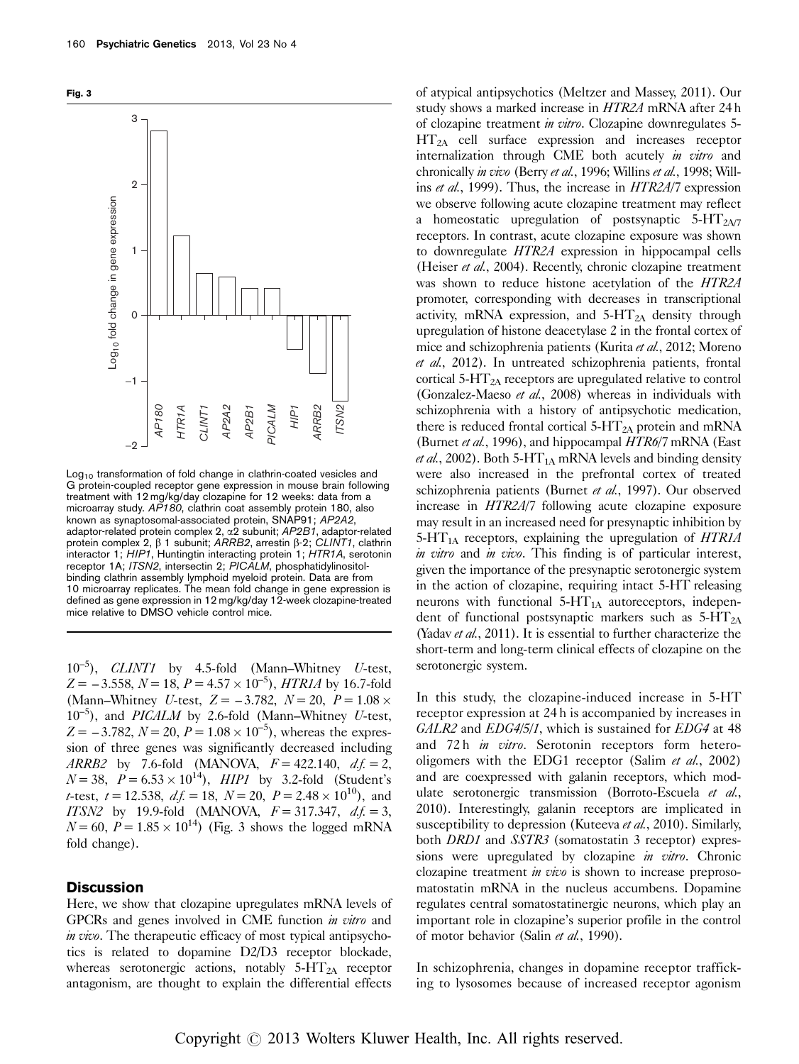



Log<sub>10</sub> transformation of fold change in clathrin-coated vesicles and G protein-coupled receptor gene expression in mouse brain following treatment with 12 mg/kg/day clozapine for 12 weeks: data from a microarray study. AP180, clathrin coat assembly protein 180, also known as synaptosomal-associated protein, SNAP91; AP2A2, adaptor-related protein complex 2,  $\alpha$ 2 subunit; AP2B1, adaptor-related protein complex 2,  $\beta$  1 subunit; ARRB2, arrestin  $\beta$ -2; CLINT1, clathrin interactor 1; HIP1, Huntingtin interacting protein 1; HTR1A, serotonin receptor 1A; ITSN2, intersectin 2; PICALM, phosphatidylinositolbinding clathrin assembly lymphoid myeloid protein. Data are from 10 microarray replicates. The mean fold change in gene expression is defined as gene expression in 12 mg/kg/day 12-week clozapine-treated mice relative to DMSO vehicle control mice.

 $10^{-5}$ ), *CLINT1* by 4.5-fold (Mann–Whitney *U*-test,  $Z = -3.558, N = 18, P = 4.57 \times 10^{-5}$ , HTR1A by 16.7-fold (Mann–Whitney *U*-test,  $Z = -3.782$ ,  $N = 20$ ,  $P = 1.08 \times$  $10^{-5}$ ), and *PICALM* by 2.6-fold (Mann–Whitney U-test,  $Z = -3.782$ ,  $N = 20$ ,  $P = 1.08 \times 10^{-5}$ , whereas the expression of three genes was significantly decreased including ARRB2 by 7.6-fold (MANOVA,  $F = 422.140$ ,  $df = 2$ ,  $N = 38$ ,  $P = 6.53 \times 10^{14}$ ),  $HIP1$  by 3.2-fold (Student's *t*-test,  $t = 12.538$ ,  $df = 18$ ,  $N = 20$ ,  $P = 2.48 \times 10^{10}$ , and ITSN2 by 19.9-fold (MANOVA,  $F = 317.347$ ,  $df = 3$ ,  $N = 60$ ,  $P = 1.85 \times 10^{14}$ ) (Fig. 3 shows the logged mRNA fold change).

### **Discussion**

Here, we show that clozapine upregulates mRNA levels of GPCRs and genes involved in CME function in vitro and in vivo. The therapeutic efficacy of most typical antipsychotics is related to dopamine D2/D3 receptor blockade, whereas serotonergic actions, notably  $5-\text{HT}_{2\text{A}}$  receptor antagonism, are thought to explain the differential effects

of atypical antipsychotics [\(Meltzer and Massey, 2011\)](#page-9-0). Our study shows a marked increase in HTR2A mRNA after 24 h of clozapine treatment in vitro. Clozapine downregulates 5-  $HT<sub>2A</sub>$  cell surface expression and increases receptor internalization through CME both acutely in vitro and chronically in vivo (Berry et al.[, 1996;](#page-8-0) [Willins](#page-9-0) et al., 1998; [Will](#page-9-0)ins *et al.*[, 1999](#page-9-0)). Thus, the increase in *HTR2A*/7 expression we observe following acute clozapine treatment may reflect a homeostatic upregulation of postsynaptic  $5-HT<sub>2AY</sub>$ receptors. In contrast, acute clozapine exposure was shown to downregulate HTR2A expression in hippocampal cells ([Heiser](#page-9-0) et al., 2004). Recently, chronic clozapine treatment was shown to reduce histone acetylation of the HTR2A promoter, corresponding with decreases in transcriptional activity, mRNA expression, and  $5-HT_{2A}$  density through upregulation of histone deacetylase 2 in the frontal cortex of mice and schizophrenia patients ([Kurita](#page-9-0) et al., 2012; [Moreno](#page-9-0) et al.[, 2012](#page-9-0)). In untreated schizophrenia patients, frontal cortical  $5-\text{HT}_{2A}$  receptors are upregulated relative to control ([Gonzalez-Maeso](#page-9-0) et al., 2008) whereas in individuals with schizophrenia with a history of antipsychotic medication, there is reduced frontal cortical 5- $HT_{2A}$  protein and mRNA ([Burnet](#page-8-0) et al., 1996), and hippocampal HTR6/7 mRNA [\(East](#page-9-0) *et al.*[, 2002\)](#page-9-0). Both 5-HT<sub>1A</sub> mRNA levels and binding density were also increased in the prefrontal cortex of treated schizophrenia patients [\(Burnet](#page-9-0) et al., 1997). Our observed increase in HTR2A/7 following acute clozapine exposure may result in an increased need for presynaptic inhibition by 5-HT<sub>1A</sub> receptors, explaining the upregulation of  $HTR1A$ in vitro and in vivo. This finding is of particular interest, given the importance of the presynaptic serotonergic system in the action of clozapine, requiring intact 5-HT releasing neurons with functional  $5 - HT_{1A}$  autoreceptors, independent of functional postsynaptic markers such as  $5-HT_{2A}$ (Yadav et al.[, 2011](#page-9-0)). It is essential to further characterize the short-term and long-term clinical effects of clozapine on the serotonergic system.

In this study, the clozapine-induced increase in 5-HT receptor expression at 24 h is accompanied by increases in GALR2 and EDG4/5/1, which is sustained for EDG4 at 48 and 72 h *in vitro*. Serotonin receptors form heterooligomers with the EDG1 receptor (Salim *et al.*[, 2002\)](#page-9-0) and are coexpressed with galanin receptors, which mod-ulate serotonergic transmission [\(Borroto-Escuela](#page-8-0) et al., [2010](#page-8-0)). Interestingly, galanin receptors are implicated in susceptibility to depression ([Kuteeva](#page-9-0) et al., 2010). Similarly, both *DRD1* and *SSTR3* (somatostatin 3 receptor) expressions were upregulated by clozapine *in vitro*. Chronic clozapine treatment *in vivo* is shown to increase preprosomatostatin mRNA in the nucleus accumbens. Dopamine regulates central somatostatinergic neurons, which play an important role in clozapine's superior profile in the control of motor behavior (Salin et al.[, 1990](#page-9-0)).

In schizophrenia, changes in dopamine receptor trafficking to lysosomes because of increased receptor agonism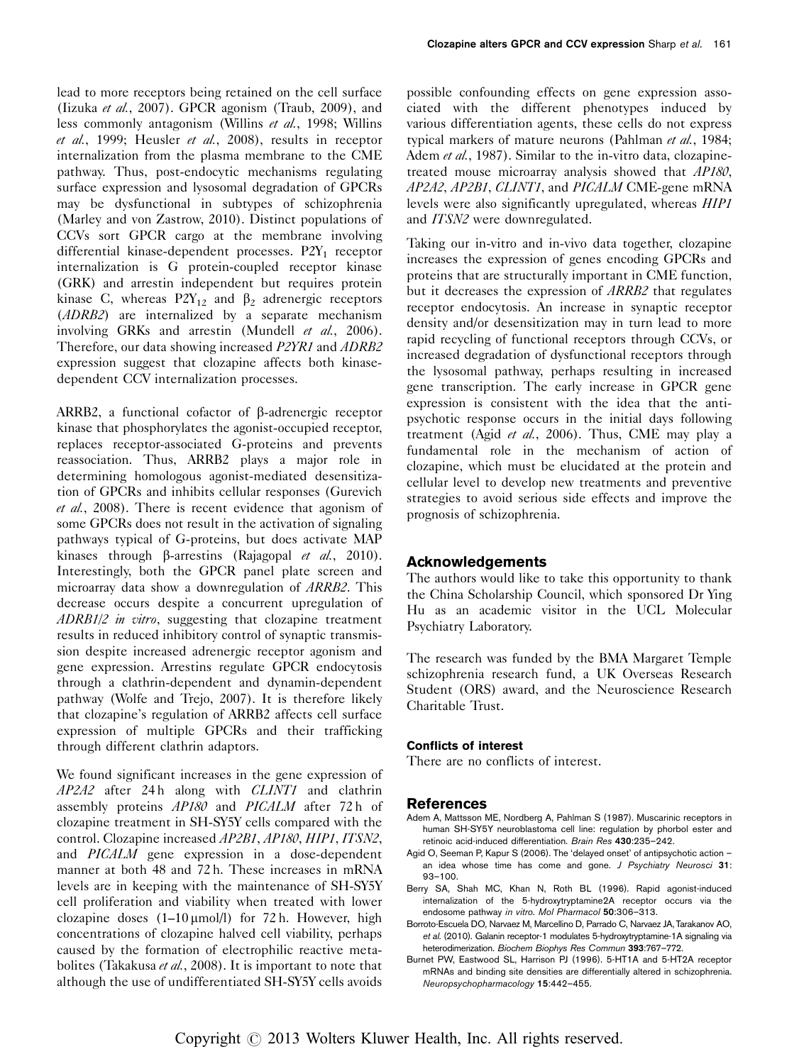<span id="page-8-0"></span>lead to more receptors being retained on the cell surface (Iizuka et al.[, 2007](#page-9-0)). GPCR agonism ([Traub, 2009](#page-9-0)), and less commonly antagonism [\(Willins](#page-9-0) et al., 1998; [Willins](#page-9-0) et al.[, 1999; Heusler](#page-9-0) et al., 2008), results in receptor internalization from the plasma membrane to the CME pathway. Thus, post-endocytic mechanisms regulating surface expression and lysosomal degradation of GPCRs may be dysfunctional in subtypes of schizophrenia ([Marley and von Zastrow, 2010](#page-9-0)). Distinct populations of CCVs sort GPCR cargo at the membrane involving differential kinase-dependent processes.  $P2Y_1$  receptor internalization is G protein-coupled receptor kinase (GRK) and arrestin independent but requires protein kinase C, whereas  $P2Y_{12}$  and  $\beta_2$  adrenergic receptors (ADRB2) are internalized by a separate mechanism involving GRKs and arrestin [\(Mundell](#page-9-0) et al., 2006). Therefore, our data showing increased P2YR1 and ADRB2 expression suggest that clozapine affects both kinasedependent CCV internalization processes.

ARRB2, a functional cofactor of  $\beta$ -adrenergic receptor kinase that phosphorylates the agonist-occupied receptor, replaces receptor-associated G-proteins and prevents reassociation. Thus, ARRB2 plays a major role in determining homologous agonist-mediated desensitization of GPCRs and inhibits cellular responses ([Gurevich](#page-9-0) et al.[, 2008](#page-9-0)). There is recent evidence that agonism of some GPCRs does not result in the activation of signaling pathways typical of G-proteins, but does activate MAP kinases through  $\beta$ -arrestins ([Rajagopal](#page-9-0) *et al.*, 2010). Interestingly, both the GPCR panel plate screen and microarray data show a downregulation of ARRB2. This decrease occurs despite a concurrent upregulation of ADRB1/2 in vitro, suggesting that clozapine treatment results in reduced inhibitory control of synaptic transmission despite increased adrenergic receptor agonism and gene expression. Arrestins regulate GPCR endocytosis through a clathrin-dependent and dynamin-dependent pathway ([Wolfe and Trejo, 2007](#page-9-0)). It is therefore likely that clozapine's regulation of ARRB2 affects cell surface expression of multiple GPCRs and their trafficking through different clathrin adaptors.

We found significant increases in the gene expression of  $AP2A2$  after 24h along with  $CLINT1$  and clathrin assembly proteins AP180 and PICALM after 72 h of clozapine treatment in SH-SY5Y cells compared with the control. Clozapine increased AP2B1, AP180, HIP1, ITSN2, and PICALM gene expression in a dose-dependent manner at both 48 and 72 h. These increases in mRNA levels are in keeping with the maintenance of SH-SY5Y cell proliferation and viability when treated with lower clozapine doses  $(1-10 \mu \text{mol/l})$  for 72 h. However, high concentrations of clozapine halved cell viability, perhaps caused by the formation of electrophilic reactive meta-bolites [\(Takakusa](#page-9-0) et al., 2008). It is important to note that although the use of undifferentiated SH-SY5Y cells avoids

possible confounding effects on gene expression associated with the different phenotypes induced by various differentiation agents, these cells do not express typical markers of mature neurons ([Pahlman](#page-9-0) et al., 1984; Adem et al., 1987). Similar to the in-vitro data, clozapinetreated mouse microarray analysis showed that AP180, AP2A2, AP2B1, CLINT1, and PICALM CME-gene mRNA levels were also significantly upregulated, whereas HIP1 and ITSN2 were downregulated.

Taking our in-vitro and in-vivo data together, clozapine increases the expression of genes encoding GPCRs and proteins that are structurally important in CME function, but it decreases the expression of ARRB2 that regulates receptor endocytosis. An increase in synaptic receptor density and/or desensitization may in turn lead to more rapid recycling of functional receptors through CCVs, or increased degradation of dysfunctional receptors through the lysosomal pathway, perhaps resulting in increased gene transcription. The early increase in GPCR gene expression is consistent with the idea that the antipsychotic response occurs in the initial days following treatment (Agid et al., 2006). Thus, CME may play a fundamental role in the mechanism of action of clozapine, which must be elucidated at the protein and cellular level to develop new treatments and preventive strategies to avoid serious side effects and improve the prognosis of schizophrenia.

# Acknowledgements

The authors would like to take this opportunity to thank the China Scholarship Council, which sponsored Dr Ying Hu as an academic visitor in the UCL Molecular Psychiatry Laboratory.

The research was funded by the BMA Margaret Temple schizophrenia research fund, a UK Overseas Research Student (ORS) award, and the Neuroscience Research Charitable Trust.

### Conflicts of interest

There are no conflicts of interest.

### References

- Adem A, Mattsson ME, Nordberg A, Pahlman S (1987). Muscarinic receptors in human SH-SY5Y neuroblastoma cell line: regulation by phorbol ester and retinoic acid-induced differentiation. Brain Res 430:235–242.
- Agid O, Seeman P, Kapur S (2006). The 'delayed onset' of antipsychotic action an idea whose time has come and gone. J Psychiatry Neurosci 31: 93–100.
- Berry SA, Shah MC, Khan N, Roth BL (1996). Rapid agonist-induced internalization of the 5-hydroxytryptamine2A receptor occurs via the endosome pathway in vitro. Mol Pharmacol 50:306–313.
- Borroto-Escuela DO, Narvaez M, Marcellino D, Parrado C, Narvaez JA, Tarakanov AO, et al. (2010). Galanin receptor-1 modulates 5-hydroxytryptamine-1A signaling via heterodimerization. Biochem Biophys Res Commun 393:767–772.
- Burnet PW, Eastwood SL, Harrison PJ (1996). 5-HT1A and 5-HT2A receptor mRNAs and binding site densities are differentially altered in schizophrenia. Neuropsychopharmacology 15:442–455.